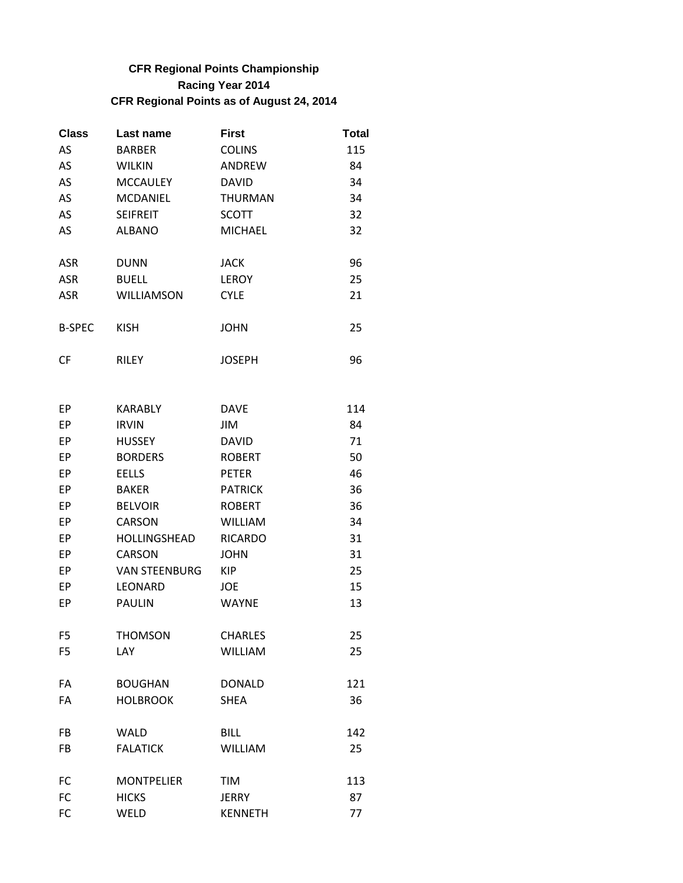## **CFR Regional Points Championship Racing Year 2014 CFR Regional Points as of August 24, 2014**

| <b>Class</b>  | Last name       | <b>First</b>   | Total |
|---------------|-----------------|----------------|-------|
| AS            | <b>BARBER</b>   | <b>COLINS</b>  | 115   |
| AS            | <b>WILKIN</b>   | <b>ANDREW</b>  | 84    |
| AS            | <b>MCCAULEY</b> | <b>DAVID</b>   | 34    |
| AS            | <b>MCDANIEL</b> | <b>THURMAN</b> | 34    |
| AS            | <b>SEIFREIT</b> | <b>SCOTT</b>   | 32    |
| AS            | <b>ALBANO</b>   | <b>MICHAEL</b> | 32    |
| <b>ASR</b>    | <b>DUNN</b>     | JACK           | 96    |
| <b>ASR</b>    | <b>BUELL</b>    | <b>LEROY</b>   | 25    |
| <b>ASR</b>    | WILLIAMSON      | <b>CYLE</b>    | 21    |
| <b>B-SPEC</b> | KISH            | JOHN           | 25    |
| CF            | RILEY           | JOSEPH         | 96    |

| EР             | <b>KARABLY</b>       | <b>DAVE</b>    | 114 |
|----------------|----------------------|----------------|-----|
| EP             | <b>IRVIN</b>         | JIM            | 84  |
| EP             | <b>HUSSEY</b>        | <b>DAVID</b>   | 71  |
| EP             | <b>BORDERS</b>       | <b>ROBERT</b>  | 50  |
| EP             | <b>EELLS</b>         | <b>PETER</b>   | 46  |
| EP             | <b>BAKER</b>         | <b>PATRICK</b> | 36  |
| EP             | <b>BELVOIR</b>       | <b>ROBERT</b>  | 36  |
| EP             | <b>CARSON</b>        | <b>WILLIAM</b> | 34  |
| EP             | HOLLINGSHEAD         | <b>RICARDO</b> | 31  |
| EP             | <b>CARSON</b>        | <b>JOHN</b>    | 31  |
| EP             | <b>VAN STEENBURG</b> | <b>KIP</b>     | 25  |
| EP             | <b>LEONARD</b>       | <b>JOE</b>     | 15  |
| EP             | <b>PAULIN</b>        | <b>WAYNE</b>   | 13  |
|                |                      |                |     |
| F <sub>5</sub> | <b>THOMSON</b>       | <b>CHARLES</b> | 25  |
| F <sub>5</sub> | <b>LAY</b>           | <b>WILLIAM</b> | 25  |
|                |                      |                |     |
| FA             | <b>BOUGHAN</b>       | <b>DONALD</b>  | 121 |
| FA             | <b>HOLBROOK</b>      | <b>SHEA</b>    | 36  |
|                |                      |                |     |
| FB             | <b>WALD</b>          | <b>BILL</b>    | 142 |
| FB             | <b>FALATICK</b>      | <b>WILLIAM</b> | 25  |
| FC             | <b>MONTPELIER</b>    | <b>TIM</b>     | 113 |
| FC             | <b>HICKS</b>         | <b>JERRY</b>   | 87  |
| <b>FC</b>      | WELD                 | <b>KENNETH</b> | 77  |
|                |                      |                |     |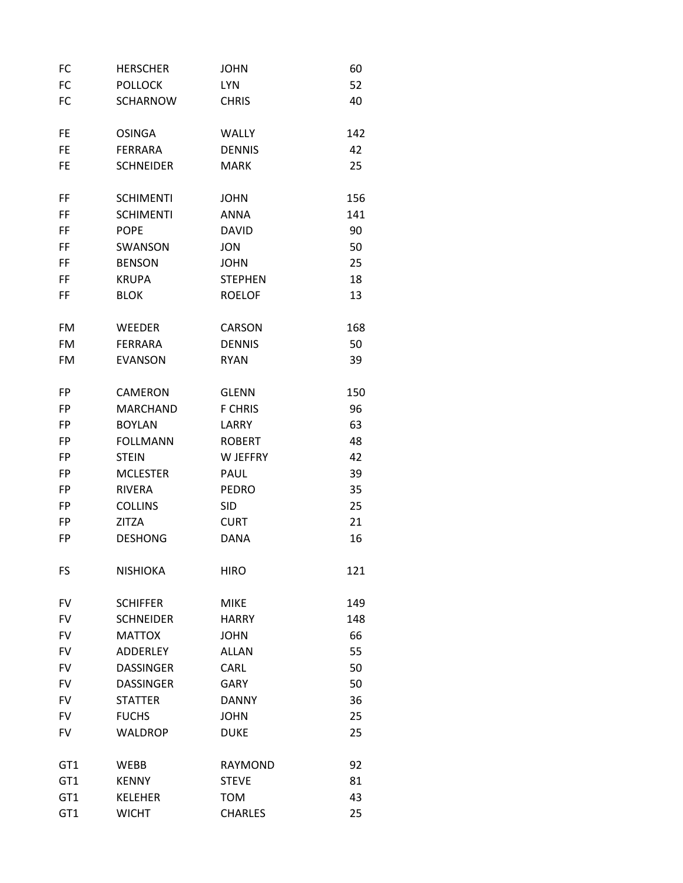| FC              | <b>HERSCHER</b>  | <b>JOHN</b>    | 60  |
|-----------------|------------------|----------------|-----|
| FC              | <b>POLLOCK</b>   | <b>LYN</b>     | 52  |
| FC              | <b>SCHARNOW</b>  | <b>CHRIS</b>   | 40  |
| <b>FE</b>       | <b>OSINGA</b>    | <b>WALLY</b>   | 142 |
| <b>FE</b>       | <b>FERRARA</b>   | <b>DENNIS</b>  | 42  |
| FE              | <b>SCHNEIDER</b> | <b>MARK</b>    | 25  |
| FF              | <b>SCHIMENTI</b> | <b>JOHN</b>    | 156 |
| FF              | <b>SCHIMENTI</b> | <b>ANNA</b>    | 141 |
| FF              | <b>POPE</b>      | <b>DAVID</b>   | 90  |
| FF              | SWANSON          | <b>JON</b>     | 50  |
| FF              | <b>BENSON</b>    | <b>JOHN</b>    | 25  |
| FF              | <b>KRUPA</b>     | <b>STEPHEN</b> | 18  |
| FF              | <b>BLOK</b>      | <b>ROELOF</b>  | 13  |
| <b>FM</b>       | <b>WEEDER</b>    | <b>CARSON</b>  | 168 |
| <b>FM</b>       | <b>FERRARA</b>   | <b>DENNIS</b>  | 50  |
| FM              | <b>EVANSON</b>   | <b>RYAN</b>    | 39  |
| FP              | <b>CAMERON</b>   | <b>GLENN</b>   | 150 |
| <b>FP</b>       | <b>MARCHAND</b>  | <b>F CHRIS</b> | 96  |
| <b>FP</b>       | <b>BOYLAN</b>    | LARRY          | 63  |
| FP              | <b>FOLLMANN</b>  | <b>ROBERT</b>  | 48  |
| FP              | <b>STEIN</b>     | W JEFFRY       | 42  |
| FP              | <b>MCLESTER</b>  | PAUL           | 39  |
| <b>FP</b>       | <b>RIVERA</b>    | <b>PEDRO</b>   | 35  |
| <b>FP</b>       | <b>COLLINS</b>   | <b>SID</b>     | 25  |
| FP              | <b>ZITZA</b>     | <b>CURT</b>    | 21  |
| FP              | <b>DESHONG</b>   | <b>DANA</b>    | 16  |
| FS              | <b>NISHIOKA</b>  | <b>HIRO</b>    | 121 |
| <b>FV</b>       | <b>SCHIFFER</b>  | <b>MIKE</b>    | 149 |
| <b>FV</b>       | <b>SCHNEIDER</b> | <b>HARRY</b>   | 148 |
| <b>FV</b>       | <b>MATTOX</b>    | <b>JOHN</b>    | 66  |
| <b>FV</b>       | <b>ADDERLEY</b>  | <b>ALLAN</b>   | 55  |
| <b>FV</b>       | <b>DASSINGER</b> | CARL           | 50  |
| <b>FV</b>       | <b>DASSINGER</b> | <b>GARY</b>    | 50  |
| <b>FV</b>       | <b>STATTER</b>   | <b>DANNY</b>   | 36  |
| <b>FV</b>       | <b>FUCHS</b>     | <b>JOHN</b>    | 25  |
| <b>FV</b>       | <b>WALDROP</b>   | <b>DUKE</b>    | 25  |
| GT <sub>1</sub> | <b>WEBB</b>      | <b>RAYMOND</b> | 92  |
| GT1             | <b>KENNY</b>     | <b>STEVE</b>   | 81  |
| GT1             | <b>KELEHER</b>   | <b>TOM</b>     | 43  |
| GT <sub>1</sub> | <b>WICHT</b>     | <b>CHARLES</b> | 25  |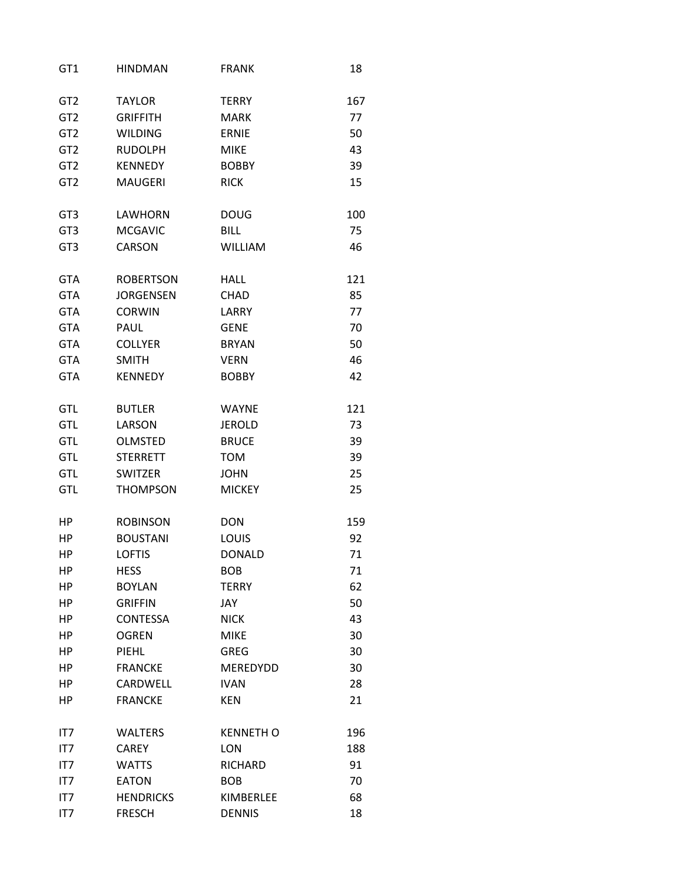| GT <sub>1</sub> | <b>HINDMAN</b>   | <b>FRANK</b>     | 18  |
|-----------------|------------------|------------------|-----|
| GT <sub>2</sub> | <b>TAYLOR</b>    | <b>TERRY</b>     | 167 |
| GT <sub>2</sub> | <b>GRIFFITH</b>  | <b>MARK</b>      | 77  |
| GT <sub>2</sub> | <b>WILDING</b>   | <b>ERNIE</b>     | 50  |
| GT <sub>2</sub> | <b>RUDOLPH</b>   | <b>MIKE</b>      | 43  |
| GT <sub>2</sub> | <b>KENNEDY</b>   | <b>BOBBY</b>     | 39  |
| GT <sub>2</sub> | <b>MAUGERI</b>   | <b>RICK</b>      | 15  |
| GT <sub>3</sub> | LAWHORN          | <b>DOUG</b>      | 100 |
| GT <sub>3</sub> | <b>MCGAVIC</b>   | <b>BILL</b>      | 75  |
| GT <sub>3</sub> | <b>CARSON</b>    | <b>WILLIAM</b>   | 46  |
| <b>GTA</b>      | <b>ROBERTSON</b> | <b>HALL</b>      | 121 |
| <b>GTA</b>      | <b>JORGENSEN</b> | <b>CHAD</b>      | 85  |
| <b>GTA</b>      | <b>CORWIN</b>    | LARRY            | 77  |
| <b>GTA</b>      | PAUL             | <b>GENE</b>      | 70  |
| <b>GTA</b>      | <b>COLLYER</b>   | <b>BRYAN</b>     | 50  |
| <b>GTA</b>      | <b>SMITH</b>     | <b>VERN</b>      | 46  |
| <b>GTA</b>      | <b>KENNEDY</b>   | <b>BOBBY</b>     | 42  |
| <b>GTL</b>      | <b>BUTLER</b>    | <b>WAYNE</b>     | 121 |
| <b>GTL</b>      | LARSON           | <b>JEROLD</b>    | 73  |
| <b>GTL</b>      | <b>OLMSTED</b>   | <b>BRUCE</b>     | 39  |
| <b>GTL</b>      | <b>STERRETT</b>  | <b>TOM</b>       | 39  |
| <b>GTL</b>      | <b>SWITZER</b>   | <b>JOHN</b>      | 25  |
| <b>GTL</b>      | <b>THOMPSON</b>  | <b>MICKEY</b>    | 25  |
| НP              | <b>ROBINSON</b>  | <b>DON</b>       | 159 |
| HР              | <b>BOUSTANI</b>  | LOUIS            | 92  |
| HP              | <b>LOFTIS</b>    | <b>DONALD</b>    | 71  |
| ΗP              | <b>HESS</b>      | <b>BOB</b>       | 71  |
| HP              | <b>BOYLAN</b>    | <b>TERRY</b>     | 62  |
| ΗP              | <b>GRIFFIN</b>   | JAY              | 50  |
| HP              | <b>CONTESSA</b>  | <b>NICK</b>      | 43  |
| ΗP              | <b>OGREN</b>     | <b>MIKE</b>      | 30  |
| HP              | PIEHL            | <b>GREG</b>      | 30  |
| HP              | <b>FRANCKE</b>   | MEREDYDD         | 30  |
| HP              | CARDWELL         | <b>IVAN</b>      | 28  |
| ΗP              | <b>FRANCKE</b>   | <b>KEN</b>       | 21  |
| IT7             | <b>WALTERS</b>   | <b>KENNETH O</b> | 196 |
| IT7             | <b>CAREY</b>     | <b>LON</b>       | 188 |
| IT7             | <b>WATTS</b>     | RICHARD          | 91  |
| IT7             | <b>EATON</b>     | <b>BOB</b>       | 70  |
| IT7             | <b>HENDRICKS</b> | KIMBERLEE        | 68  |
| IT7             | <b>FRESCH</b>    | <b>DENNIS</b>    | 18  |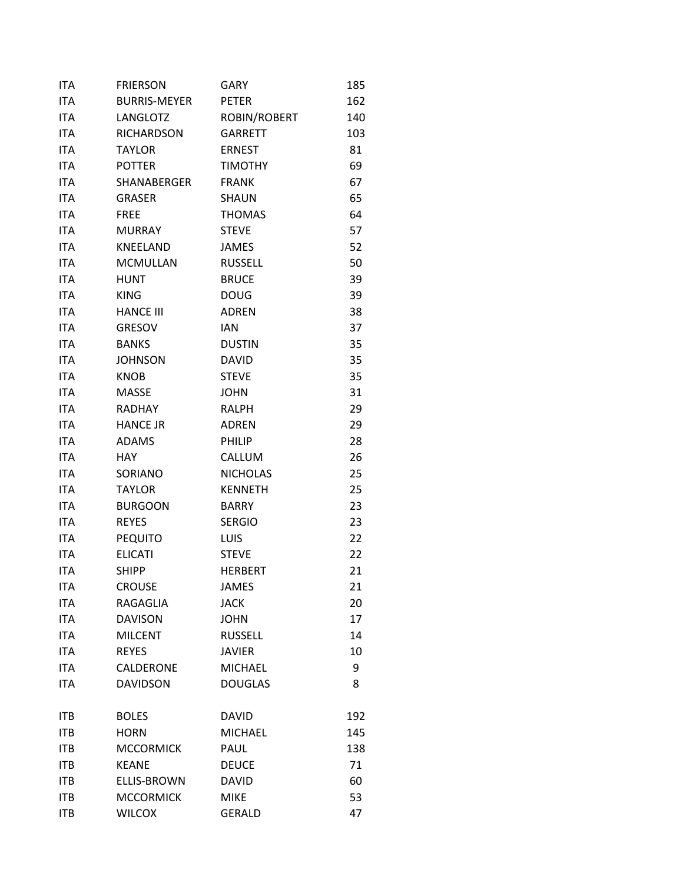| <b>ITA</b> | <b>FRIERSON</b>     | GARY            | 185 |
|------------|---------------------|-----------------|-----|
| <b>ITA</b> | <b>BURRIS-MEYER</b> | <b>PETER</b>    | 162 |
| <b>ITA</b> | LANGLOTZ            | ROBIN/ROBERT    | 140 |
| <b>ITA</b> | <b>RICHARDSON</b>   | <b>GARRETT</b>  | 103 |
| <b>ITA</b> | <b>TAYLOR</b>       | <b>ERNEST</b>   | 81  |
| <b>ITA</b> | <b>POTTER</b>       | <b>TIMOTHY</b>  | 69  |
| <b>ITA</b> | SHANABERGER         | <b>FRANK</b>    | 67  |
| <b>ITA</b> | <b>GRASER</b>       | SHAUN           | 65  |
| <b>ITA</b> | <b>FREE</b>         | <b>THOMAS</b>   | 64  |
| <b>ITA</b> | <b>MURRAY</b>       | <b>STEVE</b>    | 57  |
| <b>ITA</b> | KNEELAND            | <b>JAMES</b>    | 52  |
| <b>ITA</b> | <b>MCMULLAN</b>     | <b>RUSSELL</b>  | 50  |
| <b>ITA</b> | <b>HUNT</b>         | <b>BRUCE</b>    | 39  |
| <b>ITA</b> | <b>KING</b>         | <b>DOUG</b>     | 39  |
| <b>ITA</b> | <b>HANCE III</b>    | <b>ADREN</b>    | 38  |
| <b>ITA</b> | <b>GRESOV</b>       | <b>IAN</b>      | 37  |
| <b>ITA</b> | <b>BANKS</b>        | <b>DUSTIN</b>   | 35  |
| <b>ITA</b> | <b>JOHNSON</b>      | <b>DAVID</b>    | 35  |
| <b>ITA</b> | <b>KNOB</b>         | <b>STEVE</b>    | 35  |
| <b>ITA</b> | <b>MASSE</b>        | <b>JOHN</b>     | 31  |
| <b>ITA</b> | <b>RADHAY</b>       | <b>RALPH</b>    | 29  |
| <b>ITA</b> | <b>HANCE JR</b>     | <b>ADREN</b>    | 29  |
| <b>ITA</b> | <b>ADAMS</b>        | PHILIP          | 28  |
| <b>ITA</b> | <b>HAY</b>          | CALLUM          | 26  |
| <b>ITA</b> | SORIANO             | <b>NICHOLAS</b> | 25  |
| <b>ITA</b> | <b>TAYLOR</b>       | <b>KENNETH</b>  | 25  |
| ITA        | <b>BURGOON</b>      | <b>BARRY</b>    | 23  |
| <b>ITA</b> | <b>REYES</b>        | <b>SERGIO</b>   | 23  |
| <b>ITA</b> | <b>PEQUITO</b>      | <b>LUIS</b>     | 22  |
| <b>ITA</b> | <b>ELICATI</b>      | <b>STEVE</b>    | 22  |
| <b>ITA</b> | <b>SHIPP</b>        | <b>HERBERT</b>  | 21  |
| <b>ITA</b> | <b>CROUSE</b>       | <b>JAMES</b>    | 21  |
| <b>ITA</b> | <b>RAGAGLIA</b>     | <b>JACK</b>     | 20  |
| <b>ITA</b> | <b>DAVISON</b>      | <b>JOHN</b>     | 17  |
| <b>ITA</b> | <b>MILCENT</b>      | <b>RUSSELL</b>  | 14  |
| <b>ITA</b> | <b>REYES</b>        | <b>JAVIER</b>   | 10  |
| ITA        | <b>CALDERONE</b>    | <b>MICHAEL</b>  | 9   |
| <b>ITA</b> | <b>DAVIDSON</b>     | <b>DOUGLAS</b>  | 8   |
| ITB        | <b>BOLES</b>        | <b>DAVID</b>    | 192 |
| <b>ITB</b> | <b>HORN</b>         | <b>MICHAEL</b>  | 145 |
| <b>ITB</b> | <b>MCCORMICK</b>    | PAUL            | 138 |
| <b>ITB</b> | <b>KEANE</b>        | <b>DEUCE</b>    | 71  |
| <b>ITB</b> | <b>ELLIS-BROWN</b>  | <b>DAVID</b>    | 60  |
| <b>ITB</b> | <b>MCCORMICK</b>    | <b>MIKE</b>     | 53  |
| <b>ITB</b> | <b>WILCOX</b>       | <b>GERALD</b>   | 47  |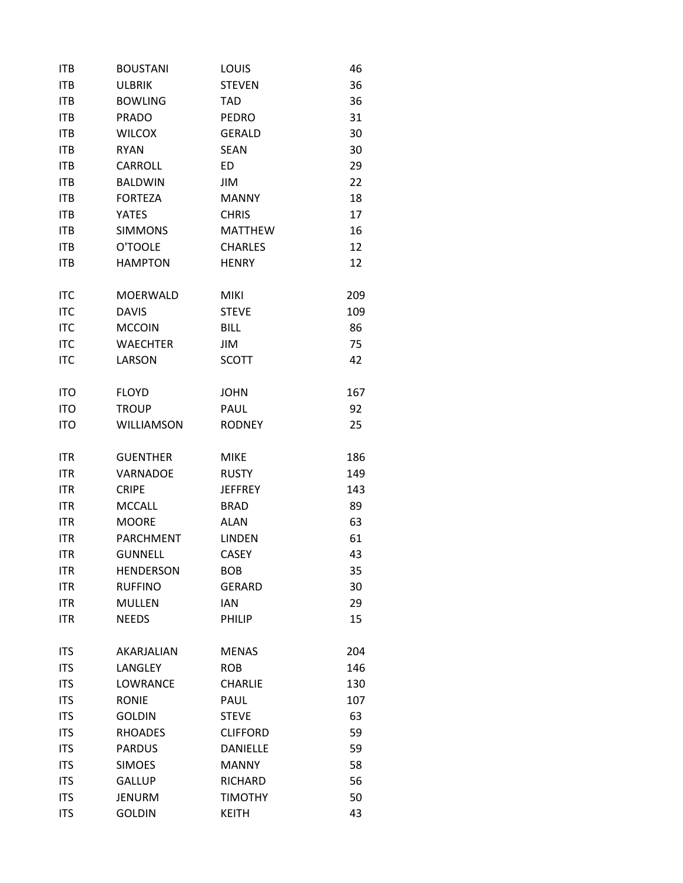| <b>ITB</b> | <b>BOUSTANI</b>  | LOUIS           | 46  |
|------------|------------------|-----------------|-----|
| <b>ITB</b> | <b>ULBRIK</b>    | <b>STEVEN</b>   | 36  |
| <b>ITB</b> | <b>BOWLING</b>   | <b>TAD</b>      | 36  |
| <b>ITB</b> | <b>PRADO</b>     | <b>PEDRO</b>    | 31  |
| <b>ITB</b> | <b>WILCOX</b>    | <b>GERALD</b>   | 30  |
| <b>ITB</b> | <b>RYAN</b>      | <b>SEAN</b>     | 30  |
| <b>ITB</b> | CARROLL          | ED              | 29  |
| <b>ITB</b> | <b>BALDWIN</b>   | JIM             | 22  |
| <b>ITB</b> | <b>FORTEZA</b>   | <b>MANNY</b>    | 18  |
| <b>ITB</b> | <b>YATES</b>     | <b>CHRIS</b>    | 17  |
| <b>ITB</b> | <b>SIMMONS</b>   | <b>MATTHEW</b>  | 16  |
| <b>ITB</b> | O'TOOLE          | <b>CHARLES</b>  | 12  |
| <b>ITB</b> | <b>HAMPTON</b>   | <b>HENRY</b>    | 12  |
| <b>ITC</b> | <b>MOERWALD</b>  | <b>MIKI</b>     | 209 |
| <b>ITC</b> | <b>DAVIS</b>     | <b>STEVE</b>    | 109 |
| <b>ITC</b> | <b>MCCOIN</b>    | <b>BILL</b>     | 86  |
| <b>ITC</b> | <b>WAECHTER</b>  | JIM             | 75  |
| <b>ITC</b> | LARSON           | <b>SCOTT</b>    | 42  |
| <b>ITO</b> | <b>FLOYD</b>     | <b>JOHN</b>     | 167 |
| <b>ITO</b> | <b>TROUP</b>     | PAUL            | 92  |
| <b>ITO</b> | WILLIAMSON       | <b>RODNEY</b>   | 25  |
| <b>ITR</b> | <b>GUENTHER</b>  | <b>MIKE</b>     | 186 |
| <b>ITR</b> | <b>VARNADOE</b>  | <b>RUSTY</b>    | 149 |
| <b>ITR</b> | <b>CRIPE</b>     | <b>JEFFREY</b>  | 143 |
| <b>ITR</b> | <b>MCCALL</b>    | <b>BRAD</b>     | 89  |
| <b>ITR</b> | <b>MOORE</b>     | <b>ALAN</b>     | 63  |
| <b>ITR</b> | PARCHMENT        | <b>LINDEN</b>   | 61  |
| <b>ITR</b> | <b>GUNNELL</b>   | <b>CASEY</b>    | 43  |
| <b>ITR</b> | <b>HENDERSON</b> | <b>BOB</b>      | 35  |
| <b>ITR</b> | <b>RUFFINO</b>   | <b>GERARD</b>   | 30  |
| <b>ITR</b> | <b>MULLEN</b>    | <b>IAN</b>      | 29  |
| <b>ITR</b> | <b>NEEDS</b>     | PHILIP          | 15  |
| <b>ITS</b> | AKARJALIAN       | <b>MENAS</b>    | 204 |
| <b>ITS</b> | LANGLEY          | <b>ROB</b>      | 146 |
| <b>ITS</b> | <b>LOWRANCE</b>  | <b>CHARLIE</b>  | 130 |
| <b>ITS</b> | <b>RONIE</b>     | PAUL            | 107 |
| <b>ITS</b> | <b>GOLDIN</b>    | <b>STEVE</b>    | 63  |
| <b>ITS</b> | <b>RHOADES</b>   | <b>CLIFFORD</b> | 59  |
| <b>ITS</b> | <b>PARDUS</b>    | <b>DANIELLE</b> | 59  |
| <b>ITS</b> | <b>SIMOES</b>    | <b>MANNY</b>    | 58  |
| <b>ITS</b> | <b>GALLUP</b>    | <b>RICHARD</b>  | 56  |
| <b>ITS</b> | <b>JENURM</b>    | <b>TIMOTHY</b>  | 50  |
| <b>ITS</b> | <b>GOLDIN</b>    | <b>KEITH</b>    | 43  |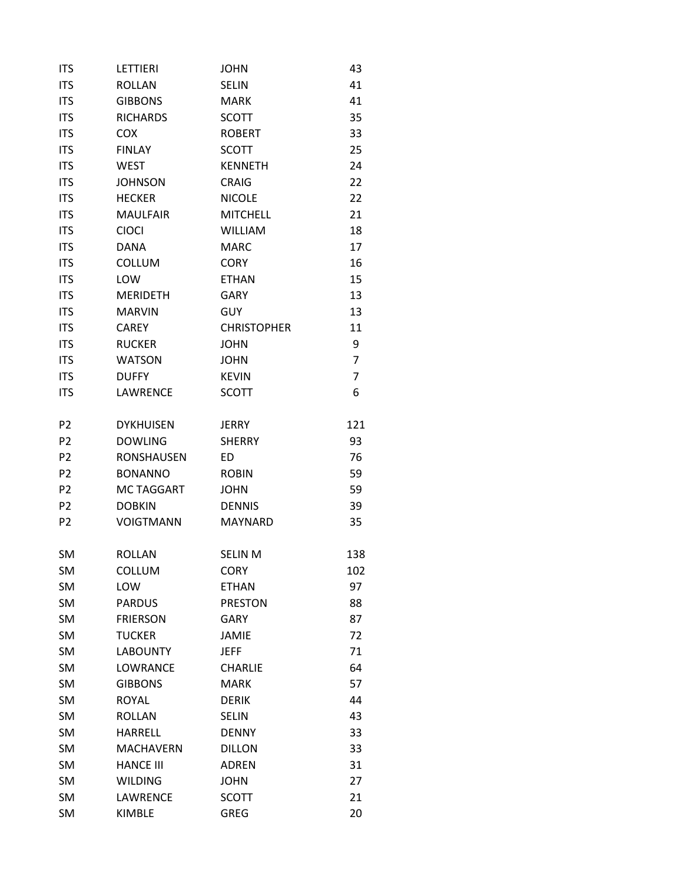| <b>ITS</b>     | LETTIERI          | <b>JOHN</b>        | 43             |
|----------------|-------------------|--------------------|----------------|
| <b>ITS</b>     | <b>ROLLAN</b>     | <b>SELIN</b>       | 41             |
| <b>ITS</b>     | <b>GIBBONS</b>    | <b>MARK</b>        | 41             |
| <b>ITS</b>     | <b>RICHARDS</b>   | <b>SCOTT</b>       | 35             |
| <b>ITS</b>     | <b>COX</b>        | <b>ROBERT</b>      | 33             |
| <b>ITS</b>     | <b>FINLAY</b>     | <b>SCOTT</b>       | 25             |
| <b>ITS</b>     | <b>WEST</b>       | <b>KENNETH</b>     | 24             |
| <b>ITS</b>     | <b>JOHNSON</b>    | <b>CRAIG</b>       | 22             |
| <b>ITS</b>     | <b>HECKER</b>     | <b>NICOLE</b>      | 22             |
| <b>ITS</b>     | <b>MAULFAIR</b>   | <b>MITCHELL</b>    | 21             |
| <b>ITS</b>     | <b>CIOCI</b>      | <b>WILLIAM</b>     | 18             |
| <b>ITS</b>     | <b>DANA</b>       | <b>MARC</b>        | 17             |
| <b>ITS</b>     | <b>COLLUM</b>     | <b>CORY</b>        | 16             |
| <b>ITS</b>     | LOW               | <b>ETHAN</b>       | 15             |
| <b>ITS</b>     | <b>MERIDETH</b>   | <b>GARY</b>        | 13             |
| <b>ITS</b>     | <b>MARVIN</b>     | <b>GUY</b>         | 13             |
| <b>ITS</b>     | <b>CAREY</b>      | <b>CHRISTOPHER</b> | 11             |
| <b>ITS</b>     | <b>RUCKER</b>     | <b>JOHN</b>        | 9              |
| <b>ITS</b>     | <b>WATSON</b>     | <b>JOHN</b>        | $\overline{7}$ |
| <b>ITS</b>     | <b>DUFFY</b>      | <b>KEVIN</b>       | 7              |
| <b>ITS</b>     | LAWRENCE          | <b>SCOTT</b>       | 6              |
| P <sub>2</sub> | <b>DYKHUISEN</b>  | <b>JERRY</b>       | 121            |
| P <sub>2</sub> | <b>DOWLING</b>    | <b>SHERRY</b>      | 93             |
| P <sub>2</sub> | <b>RONSHAUSEN</b> | ED.                | 76             |
| P <sub>2</sub> | <b>BONANNO</b>    | <b>ROBIN</b>       | 59             |
| P <sub>2</sub> | <b>MCTAGGART</b>  | <b>JOHN</b>        | 59             |
| P <sub>2</sub> | <b>DOBKIN</b>     | <b>DENNIS</b>      | 39             |
| P <sub>2</sub> | <b>VOIGTMANN</b>  | <b>MAYNARD</b>     | 35             |
| <b>SM</b>      | <b>ROLLAN</b>     | <b>SELIN M</b>     | 138            |
| <b>SM</b>      | COLLUM            | <b>CORY</b>        | 102            |
| <b>SM</b>      | LOW               | <b>ETHAN</b>       | 97             |
| <b>SM</b>      | <b>PARDUS</b>     | <b>PRESTON</b>     | 88             |
| <b>SM</b>      | <b>FRIERSON</b>   | <b>GARY</b>        | 87             |
| <b>SM</b>      | <b>TUCKER</b>     | <b>JAMIE</b>       | 72             |
| <b>SM</b>      | <b>LABOUNTY</b>   | <b>JEFF</b>        | 71             |
| <b>SM</b>      | LOWRANCE          | <b>CHARLIE</b>     | 64             |
| SM             | <b>GIBBONS</b>    | <b>MARK</b>        | 57             |
| SM             | <b>ROYAL</b>      | <b>DERIK</b>       | 44             |
| SM             | <b>ROLLAN</b>     | <b>SELIN</b>       | 43             |
| <b>SM</b>      | <b>HARRELL</b>    | <b>DENNY</b>       | 33             |
| <b>SM</b>      | <b>MACHAVERN</b>  | <b>DILLON</b>      | 33             |
| <b>SM</b>      | <b>HANCE III</b>  | <b>ADREN</b>       | 31             |
| SM             | <b>WILDING</b>    | <b>JOHN</b>        | 27             |
| SM             | LAWRENCE          | <b>SCOTT</b>       | 21             |
| <b>SM</b>      | <b>KIMBLE</b>     | <b>GREG</b>        | 20             |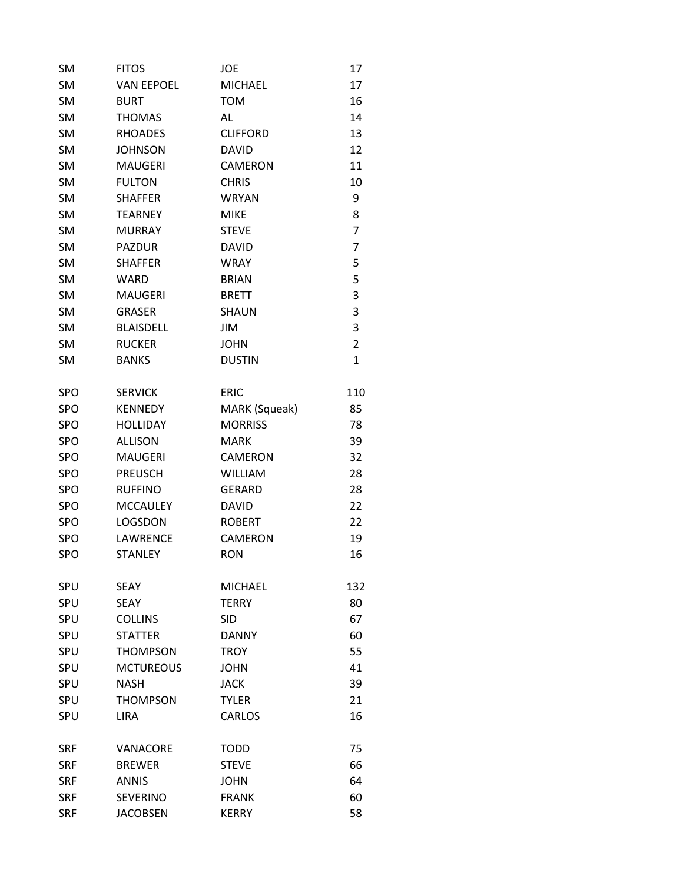| <b>SM</b>  | <b>FITOS</b>      | JOE             | 17             |
|------------|-------------------|-----------------|----------------|
| <b>SM</b>  | <b>VAN EEPOEL</b> | <b>MICHAEL</b>  | 17             |
| <b>SM</b>  | <b>BURT</b>       | <b>TOM</b>      | 16             |
| <b>SM</b>  | <b>THOMAS</b>     | AL              | 14             |
| <b>SM</b>  | <b>RHOADES</b>    | <b>CLIFFORD</b> | 13             |
| <b>SM</b>  | <b>JOHNSON</b>    | <b>DAVID</b>    | 12             |
| <b>SM</b>  | <b>MAUGERI</b>    | <b>CAMERON</b>  | 11             |
| <b>SM</b>  | <b>FULTON</b>     | <b>CHRIS</b>    | 10             |
| SM         | <b>SHAFFER</b>    | <b>WRYAN</b>    | 9              |
| <b>SM</b>  | <b>TEARNEY</b>    | <b>MIKE</b>     | 8              |
| <b>SM</b>  | <b>MURRAY</b>     | <b>STEVE</b>    | 7              |
| <b>SM</b>  | <b>PAZDUR</b>     | <b>DAVID</b>    | 7              |
| <b>SM</b>  | <b>SHAFFER</b>    | <b>WRAY</b>     | 5              |
| <b>SM</b>  | <b>WARD</b>       | <b>BRIAN</b>    | 5              |
| <b>SM</b>  | <b>MAUGERI</b>    | <b>BRETT</b>    | 3              |
| <b>SM</b>  | <b>GRASER</b>     | <b>SHAUN</b>    | 3              |
| SM         | <b>BLAISDELL</b>  | JIM             | 3              |
| <b>SM</b>  | <b>RUCKER</b>     | <b>JOHN</b>     | $\overline{2}$ |
| <b>SM</b>  | <b>BANKS</b>      | <b>DUSTIN</b>   | $\mathbf{1}$   |
| <b>SPO</b> | <b>SERVICK</b>    | <b>ERIC</b>     | 110            |
| <b>SPO</b> | <b>KENNEDY</b>    | MARK (Squeak)   | 85             |
| SPO        | <b>HOLLIDAY</b>   | <b>MORRISS</b>  | 78             |
| <b>SPO</b> | <b>ALLISON</b>    | <b>MARK</b>     | 39             |
| <b>SPO</b> | <b>MAUGERI</b>    | <b>CAMERON</b>  | 32             |
| SPO        | <b>PREUSCH</b>    | <b>WILLIAM</b>  | 28             |
| SPO        | <b>RUFFINO</b>    | <b>GERARD</b>   | 28             |
| SPO        | <b>MCCAULEY</b>   | <b>DAVID</b>    | 22             |
| <b>SPO</b> | LOGSDON           | <b>ROBERT</b>   | 22             |
| <b>SPO</b> | LAWRENCE          | CAMERON         | 19             |
| SPO        | <b>STANLEY</b>    | <b>RON</b>      | 16             |
| SPU        | <b>SEAY</b>       | <b>MICHAEL</b>  | 132            |
| SPU        | SEAY              | <b>TFRRY</b>    | 80             |
| SPU        | <b>COLLINS</b>    | <b>SID</b>      | 67             |
| SPU        | <b>STATTFR</b>    | <b>DANNY</b>    | 60             |
| SPU        | <b>THOMPSON</b>   | <b>TROY</b>     | 55             |
| SPU        | <b>MCTUREOUS</b>  | <b>JOHN</b>     | 41             |
| SPU        | <b>NASH</b>       | <b>JACK</b>     | 39             |
| SPU        | <b>THOMPSON</b>   | <b>TYLER</b>    | 21             |
| <b>SPU</b> | <b>LIRA</b>       | <b>CARLOS</b>   | 16             |
| SRF        | VANACORE          | <b>TODD</b>     | 75             |
| <b>SRF</b> | <b>BREWER</b>     | <b>STEVE</b>    | 66             |
| <b>SRF</b> | <b>ANNIS</b>      | <b>JOHN</b>     | 64             |
| <b>SRF</b> | <b>SEVERINO</b>   | <b>FRANK</b>    | 60             |
| <b>SRF</b> | <b>JACOBSEN</b>   | <b>KERRY</b>    | 58             |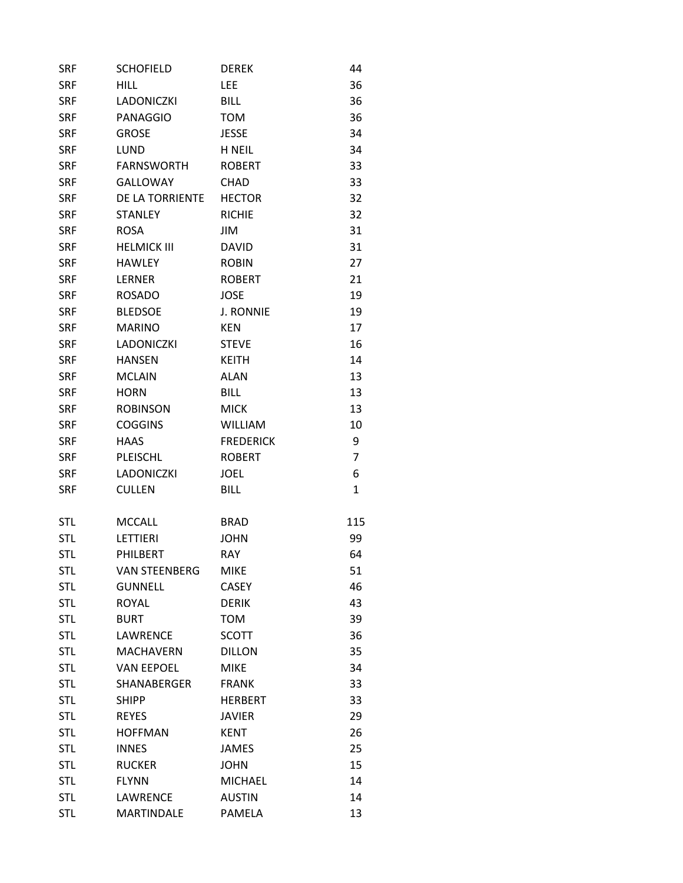| <b>SRF</b> | <b>SCHOFIELD</b>     | <b>DEREK</b>     | 44           |
|------------|----------------------|------------------|--------------|
| <b>SRF</b> | <b>HILL</b>          | LEE              | 36           |
| <b>SRF</b> | <b>LADONICZKI</b>    | <b>BILL</b>      | 36           |
| <b>SRF</b> | <b>PANAGGIO</b>      | <b>TOM</b>       | 36           |
| <b>SRF</b> | <b>GROSE</b>         | <b>JESSE</b>     | 34           |
| <b>SRF</b> | LUND                 | <b>H NEIL</b>    | 34           |
| <b>SRF</b> | <b>FARNSWORTH</b>    | <b>ROBERT</b>    | 33           |
| <b>SRF</b> | <b>GALLOWAY</b>      | <b>CHAD</b>      | 33           |
| <b>SRF</b> | DE LA TORRIENTE      | <b>HECTOR</b>    | 32           |
| <b>SRF</b> | <b>STANLEY</b>       | <b>RICHIE</b>    | 32           |
| <b>SRF</b> | <b>ROSA</b>          | JIM              | 31           |
| <b>SRF</b> | <b>HELMICK III</b>   | <b>DAVID</b>     | 31           |
| <b>SRF</b> | <b>HAWLEY</b>        | <b>ROBIN</b>     | 27           |
| <b>SRF</b> | <b>LERNER</b>        | <b>ROBERT</b>    | 21           |
| <b>SRF</b> | <b>ROSADO</b>        | <b>JOSE</b>      | 19           |
| <b>SRF</b> | <b>BLEDSOE</b>       | <b>J. RONNIE</b> | 19           |
| <b>SRF</b> | <b>MARINO</b>        | <b>KEN</b>       | 17           |
| <b>SRF</b> | <b>LADONICZKI</b>    | <b>STEVE</b>     | 16           |
| <b>SRF</b> | <b>HANSEN</b>        | <b>KEITH</b>     | 14           |
| <b>SRF</b> | <b>MCLAIN</b>        | <b>ALAN</b>      | 13           |
| <b>SRF</b> | <b>HORN</b>          | <b>BILL</b>      | 13           |
| <b>SRF</b> | <b>ROBINSON</b>      | <b>MICK</b>      | 13           |
| <b>SRF</b> | <b>COGGINS</b>       | <b>WILLIAM</b>   | 10           |
| <b>SRF</b> | <b>HAAS</b>          | <b>FREDERICK</b> | 9            |
| <b>SRF</b> | PLEISCHL             | <b>ROBERT</b>    | 7            |
| <b>SRF</b> | <b>LADONICZKI</b>    | <b>JOEL</b>      | 6            |
| <b>SRF</b> | <b>CULLEN</b>        | <b>BILL</b>      | $\mathbf{1}$ |
| <b>STL</b> | <b>MCCALL</b>        | <b>BRAD</b>      | 115          |
| <b>STL</b> | LETTIERI             | JOHN             | 99           |
| <b>STL</b> | PHILBERT             | <b>RAY</b>       | 64           |
| <b>STL</b> | <b>VAN STEENBERG</b> | <b>MIKE</b>      | 51           |
| <b>STL</b> | <b>GUNNELL</b>       | <b>CASEY</b>     | 46           |
| <b>STL</b> | <b>ROYAL</b>         | <b>DERIK</b>     | 43           |
| <b>STL</b> | <b>BURT</b>          | <b>TOM</b>       | 39           |
| <b>STL</b> | LAWRENCE             | <b>SCOTT</b>     | 36           |
| <b>STL</b> | <b>MACHAVERN</b>     | <b>DILLON</b>    | 35           |
| <b>STL</b> | <b>VAN EEPOEL</b>    | <b>MIKE</b>      | 34           |
| <b>STL</b> | <b>SHANABERGER</b>   | <b>FRANK</b>     | 33           |
| <b>STL</b> | <b>SHIPP</b>         | <b>HERBERT</b>   | 33           |
| <b>STL</b> | <b>REYES</b>         | <b>JAVIER</b>    | 29           |
| <b>STL</b> | <b>HOFFMAN</b>       | <b>KENT</b>      | 26           |
| <b>STL</b> | <b>INNES</b>         | <b>JAMES</b>     | 25           |
| <b>STL</b> | <b>RUCKER</b>        | <b>JOHN</b>      | 15           |
| <b>STL</b> | <b>FLYNN</b>         | <b>MICHAEL</b>   | 14           |
| <b>STL</b> | LAWRENCE             | <b>AUSTIN</b>    | 14           |
| <b>STL</b> | <b>MARTINDALE</b>    | PAMELA           | 13           |